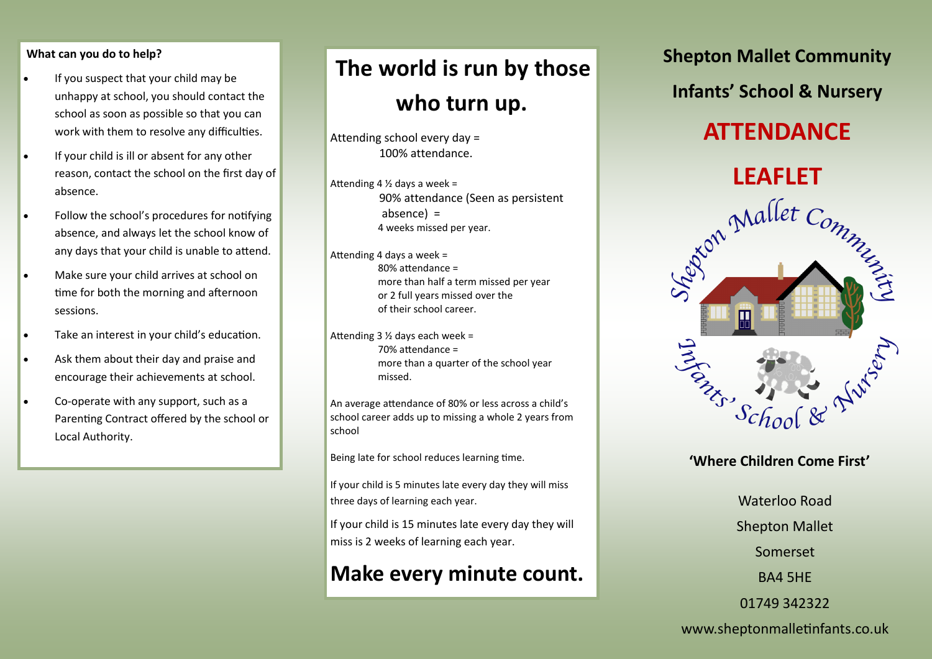#### **What can you do to help?**

- If you suspect that your child may be unhappy at school, you should contact the school as soon as possible so that you can work with them to resolve any difficulties.
- If your child is ill or absent for any other reason, contact the school on the first day of absence.
- Follow the school's procedures for notifying absence, and always let the school know of any days that your child is unable to attend.
- Make sure your child arrives at school on time for both the morning and afternoon sessions.
- Take an interest in your child's education.
- Ask them about their day and praise and encourage their achievements at school.
- Co-operate with any support, such as a Parenting Contract offered by the school or Local Authority.

# **The world is run by those who turn up.**

Attending school every day = 100% attendance.

Attending 4  $\frac{1}{2}$  days a week = 90% attendance (Seen as persistent absence) = 4 weeks missed per year.

Attending 4 days a week = 80% attendance = more than half a term missed per year or 2 full years missed over the of their school career.

Attending 3 ½ days each week = 70% attendance = more than a quarter of the school year missed.

An average attendance of 80% or less across a child's school career adds up to missing a whole 2 years from school

Being late for school reduces learning time.

If your child is 5 minutes late every day they will miss three days of learning each year.

If your child is 15 minutes late every day they will miss is 2 weeks of learning each year.

### **Make every minute count.**

**Shepton Mallet Community Infants' School & Nursery**

## **ATTENDANCE**



#### **'Where Children Come First'**

Waterloo Road Shepton Mallet Somerset BA4 5HE 01749 342322

www.sheptonmalletinfants.co.uk